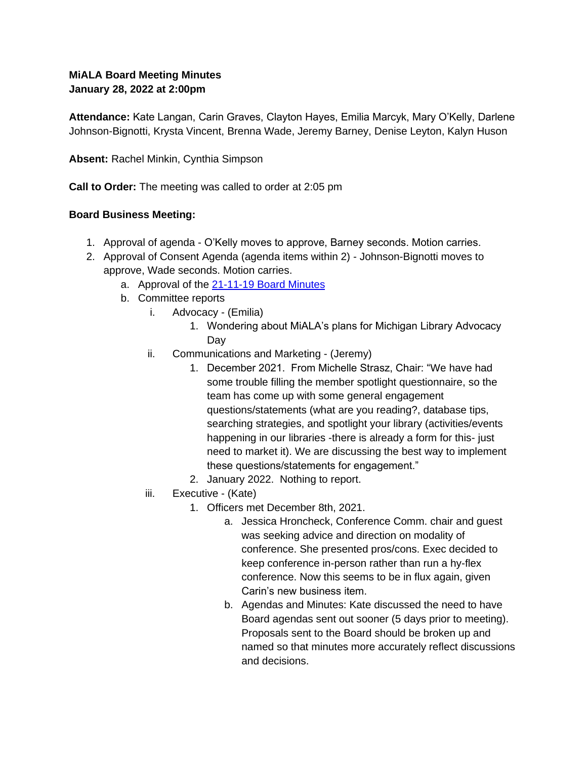## **MiALA Board Meeting Minutes January 28, 2022 at 2:00pm**

**Attendance:** Kate Langan, Carin Graves, Clayton Hayes, Emilia Marcyk, Mary O'Kelly, Darlene Johnson-Bignotti, Krysta Vincent, Brenna Wade, Jeremy Barney, Denise Leyton, Kalyn Huson

**Absent:** Rachel Minkin, Cynthia Simpson

**Call to Order:** The meeting was called to order at 2:05 pm

### **Board Business Meeting:**

- 1. Approval of agenda O'Kelly moves to approve, Barney seconds. Motion carries.
- 2. Approval of Consent Agenda (agenda items within 2) Johnson-Bignotti moves to approve, Wade seconds. Motion carries.
	- a. Approval of the 21-11-19 Board Minutes
	- b. Committee reports
		- i. Advocacy (Emilia)
			- 1. Wondering about MiALA's plans for Michigan Library Advocacy Day
		- ii. Communications and Marketing (Jeremy)
			- 1. December 2021. From Michelle Strasz, Chair: "We have had some trouble filling the member spotlight questionnaire, so the team has come up with some general engagement questions/statements (what are you reading?, database tips, searching strategies, and spotlight your library (activities/events happening in our libraries -there is already a form for this- just need to market it). We are discussing the best way to implement these questions/statements for engagement."
			- 2. January 2022. Nothing to report.
		- iii. Executive (Kate)
			- 1. Officers met December 8th, 2021.
				- a. Jessica Hroncheck, Conference Comm. chair and guest was seeking advice and direction on modality of conference. She presented pros/cons. Exec decided to keep conference in-person rather than run a hy-flex conference. Now this seems to be in flux again, given Carin's new business item.
				- b. Agendas and Minutes: Kate discussed the need to have Board agendas sent out sooner (5 days prior to meeting). Proposals sent to the Board should be broken up and named so that minutes more accurately reflect discussions and decisions.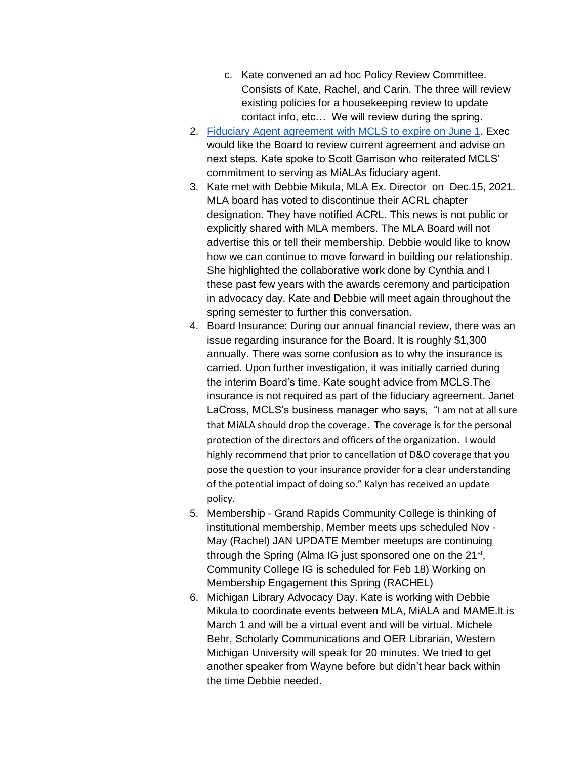- c. Kate convened an ad hoc Policy Review Committee. Consists of Kate, Rachel, and Carin. The three will review existing policies for a housekeeping review to update contact info, etc… We will review during the spring.
- 2. Fiduciary Agent agreement with MCLS to expire on June 1. Exec would like the Board to review current agreement and advise on next steps. Kate spoke to Scott Garrison who reiterated MCLS' commitment to serving as MiALAs fiduciary agent.
- 3. Kate met with Debbie Mikula, MLA Ex. Director on Dec.15, 2021. MLA board has voted to discontinue their ACRL chapter designation. They have notified ACRL. This news is not public or explicitly shared with MLA members. The MLA Board will not advertise this or tell their membership. Debbie would like to know how we can continue to move forward in building our relationship. She highlighted the collaborative work done by Cynthia and I these past few years with the awards ceremony and participation in advocacy day. Kate and Debbie will meet again throughout the spring semester to further this conversation.
- 4. Board Insurance: During our annual financial review, there was an issue regarding insurance for the Board. It is roughly \$1,300 annually. There was some confusion as to why the insurance is carried. Upon further investigation, it was initially carried during the interim Board's time. Kate sought advice from MCLS.The insurance is not required as part of the fiduciary agreement. Janet LaCross, MCLS's business manager who says, "I am not at all sure that MiALA should drop the coverage. The coverage is for the personal protection of the directors and officers of the organization. I would highly recommend that prior to cancellation of D&O coverage that you pose the question to your insurance provider for a clear understanding of the potential impact of doing so." Kalyn has received an update policy.
- 5. Membership Grand Rapids Community College is thinking of institutional membership, Member meets ups scheduled Nov - May (Rachel) JAN UPDATE Member meetups are continuing through the Spring (Alma IG just sponsored one on the 21<sup>st</sup>, Community College IG is scheduled for Feb 18) Working on Membership Engagement this Spring (RACHEL)
- 6. Michigan Library Advocacy Day. Kate is working with Debbie Mikula to coordinate events between MLA, MiALA and MAME.It is March 1 and will be a virtual event and will be virtual. Michele Behr, Scholarly Communications and OER Librarian, Western Michigan University will speak for 20 minutes. We tried to get another speaker from Wayne before but didn't hear back within the time Debbie needed.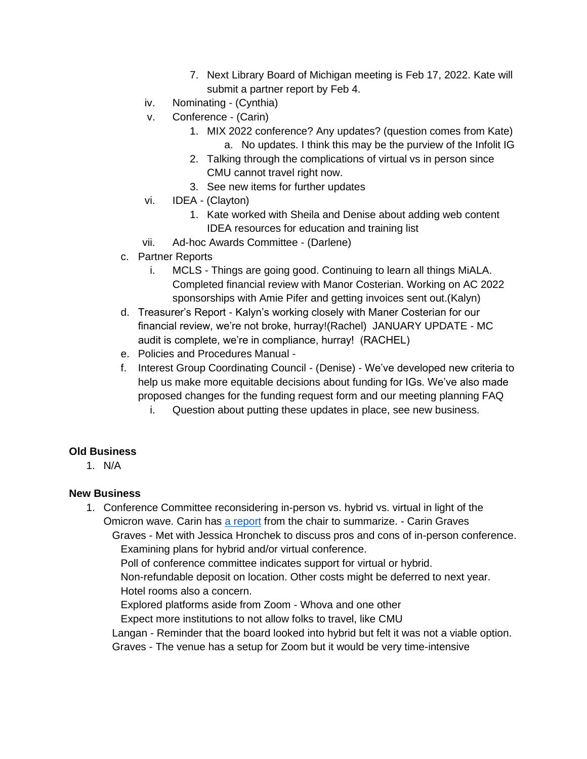- 7. Next Library Board of Michigan meeting is Feb 17, 2022. Kate will submit a partner report by Feb 4.
- iv. Nominating (Cynthia)
- v. Conference (Carin)
	- 1. MIX 2022 conference? Any updates? (question comes from Kate) a. No updates. I think this may be the purview of the Infolit IG
	- 2. Talking through the complications of virtual vs in person since CMU cannot travel right now.
	- 3. See new items for further updates
- vi. IDEA (Clayton)
	- 1. Kate worked with Sheila and Denise about adding web content IDEA resources for education and training list
- vii. Ad-hoc Awards Committee (Darlene)
- c. Partner Reports
	- i. MCLS Things are going good. Continuing to learn all things MiALA. Completed financial review with Manor Costerian. Working on AC 2022 sponsorships with Amie Pifer and getting invoices sent out.(Kalyn)
- d. Treasurer's Report Kalyn's working closely with Maner Costerian for our financial review, we're not broke, hurray!(Rachel) JANUARY UPDATE - MC audit is complete, we're in compliance, hurray! (RACHEL)
- e. Policies and Procedures Manual -
- f. Interest Group Coordinating Council (Denise) We've developed new criteria to help us make more equitable decisions about funding for IGs. We've also made proposed changes for the funding request form and our meeting planning FAQ
	- i. Question about putting these updates in place, see new business.

#### **Old Business**

1. N/A

#### **New Business**

1. Conference Committee reconsidering in-person vs. hybrid vs. virtual in light of the Omicron wave. Carin has a report from the chair to summarize. - Carin Graves

Graves - Met with Jessica Hronchek to discuss pros and cons of in-person conference. Examining plans for hybrid and/or virtual conference.

Poll of conference committee indicates support for virtual or hybrid.

Non-refundable deposit on location. Other costs might be deferred to next year. Hotel rooms also a concern.

Explored platforms aside from Zoom - Whova and one other

Expect more institutions to not allow folks to travel, like CMU

- Langan Reminder that the board looked into hybrid but felt it was not a viable option.
- Graves The venue has a setup for Zoom but it would be very time-intensive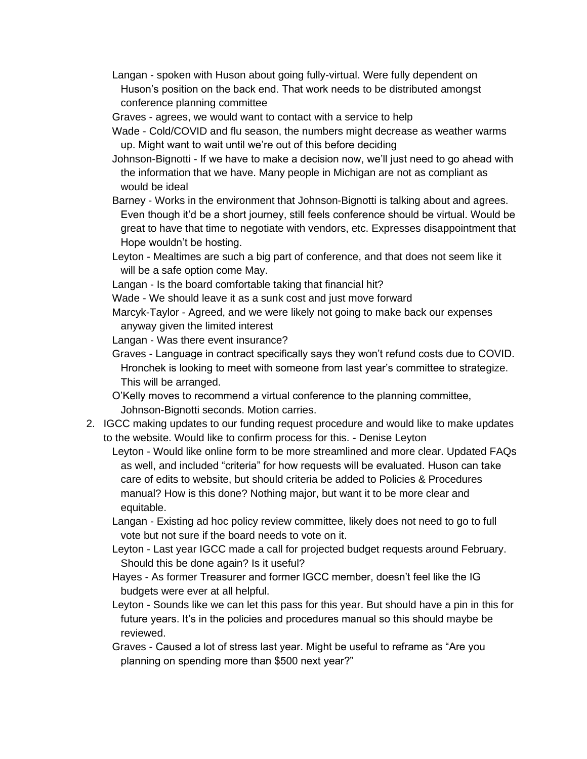- Langan spoken with Huson about going fully-virtual. Were fully dependent on Huson's position on the back end. That work needs to be distributed amongst conference planning committee
- Graves agrees, we would want to contact with a service to help
- Wade Cold/COVID and flu season, the numbers might decrease as weather warms up. Might want to wait until we're out of this before deciding
- Johnson-Bignotti If we have to make a decision now, we'll just need to go ahead with the information that we have. Many people in Michigan are not as compliant as would be ideal
- Barney Works in the environment that Johnson-Bignotti is talking about and agrees. Even though it'd be a short journey, still feels conference should be virtual. Would be great to have that time to negotiate with vendors, etc. Expresses disappointment that Hope wouldn't be hosting.
- Leyton Mealtimes are such a big part of conference, and that does not seem like it will be a safe option come May.
- Langan Is the board comfortable taking that financial hit?
- Wade We should leave it as a sunk cost and just move forward
- Marcyk-Taylor Agreed, and we were likely not going to make back our expenses anyway given the limited interest
- Langan Was there event insurance?
- Graves Language in contract specifically says they won't refund costs due to COVID. Hronchek is looking to meet with someone from last year's committee to strategize. This will be arranged.
- O'Kelly moves to recommend a virtual conference to the planning committee, Johnson-Bignotti seconds. Motion carries.
- 2. IGCC making updates to our funding request procedure and would like to make updates to the website. Would like to confirm process for this. - Denise Leyton
	- Leyton Would like online form to be more streamlined and more clear. Updated FAQs as well, and included "criteria" for how requests will be evaluated. Huson can take care of edits to website, but should criteria be added to Policies & Procedures manual? How is this done? Nothing major, but want it to be more clear and equitable.
	- Langan Existing ad hoc policy review committee, likely does not need to go to full vote but not sure if the board needs to vote on it.
	- Leyton Last year IGCC made a call for projected budget requests around February. Should this be done again? Is it useful?
	- Hayes As former Treasurer and former IGCC member, doesn't feel like the IG budgets were ever at all helpful.
	- Leyton Sounds like we can let this pass for this year. But should have a pin in this for future years. It's in the policies and procedures manual so this should maybe be reviewed.
	- Graves Caused a lot of stress last year. Might be useful to reframe as "Are you planning on spending more than \$500 next year?"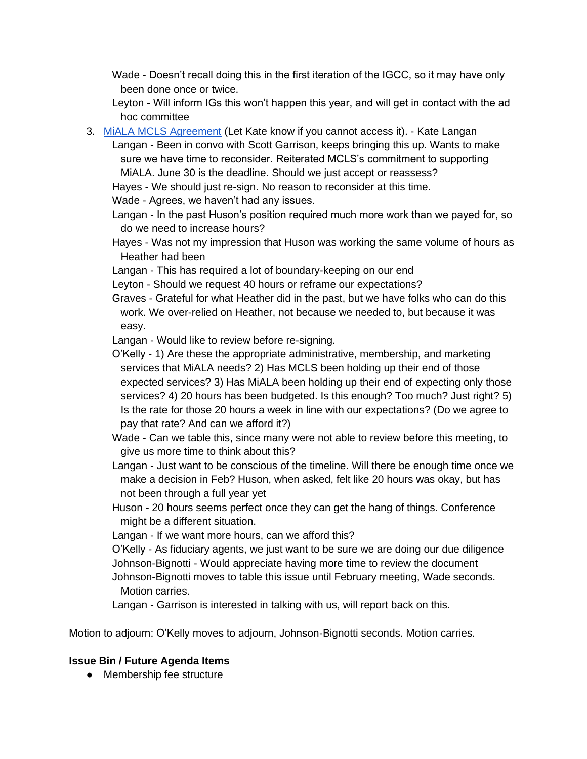Wade - Doesn't recall doing this in the first iteration of the IGCC, so it may have only been done once or twice.

Leyton - Will inform IGs this won't happen this year, and will get in contact with the ad hoc committee

- 3. MiALA MCLS Agreement (Let Kate know if you cannot access it). Kate Langan
	- Langan Been in convo with Scott Garrison, keeps bringing this up. Wants to make sure we have time to reconsider. Reiterated MCLS's commitment to supporting MiALA. June 30 is the deadline. Should we just accept or reassess?

Hayes - We should just re-sign. No reason to reconsider at this time.

Wade - Agrees, we haven't had any issues.

- Langan In the past Huson's position required much more work than we payed for, so do we need to increase hours?
- Hayes Was not my impression that Huson was working the same volume of hours as Heather had been
- Langan This has required a lot of boundary-keeping on our end
- Leyton Should we request 40 hours or reframe our expectations?
- Graves Grateful for what Heather did in the past, but we have folks who can do this work. We over-relied on Heather, not because we needed to, but because it was easy.
- Langan Would like to review before re-signing.
- O'Kelly 1) Are these the appropriate administrative, membership, and marketing services that MiALA needs? 2) Has MCLS been holding up their end of those expected services? 3) Has MiALA been holding up their end of expecting only those services? 4) 20 hours has been budgeted. Is this enough? Too much? Just right? 5) Is the rate for those 20 hours a week in line with our expectations? (Do we agree to pay that rate? And can we afford it?)

Wade - Can we table this, since many were not able to review before this meeting, to give us more time to think about this?

Langan - Just want to be conscious of the timeline. Will there be enough time once we make a decision in Feb? Huson, when asked, felt like 20 hours was okay, but has not been through a full year yet

- Huson 20 hours seems perfect once they can get the hang of things. Conference might be a different situation.
- Langan If we want more hours, can we afford this?
- O'Kelly As fiduciary agents, we just want to be sure we are doing our due diligence Johnson-Bignotti - Would appreciate having more time to review the document Johnson-Bignotti moves to table this issue until February meeting, Wade seconds.
	- Motion carries.

Langan - Garrison is interested in talking with us, will report back on this.

Motion to adjourn: O'Kelly moves to adjourn, Johnson-Bignotti seconds. Motion carries.

## **Issue Bin / Future Agenda Items**

● Membership fee structure